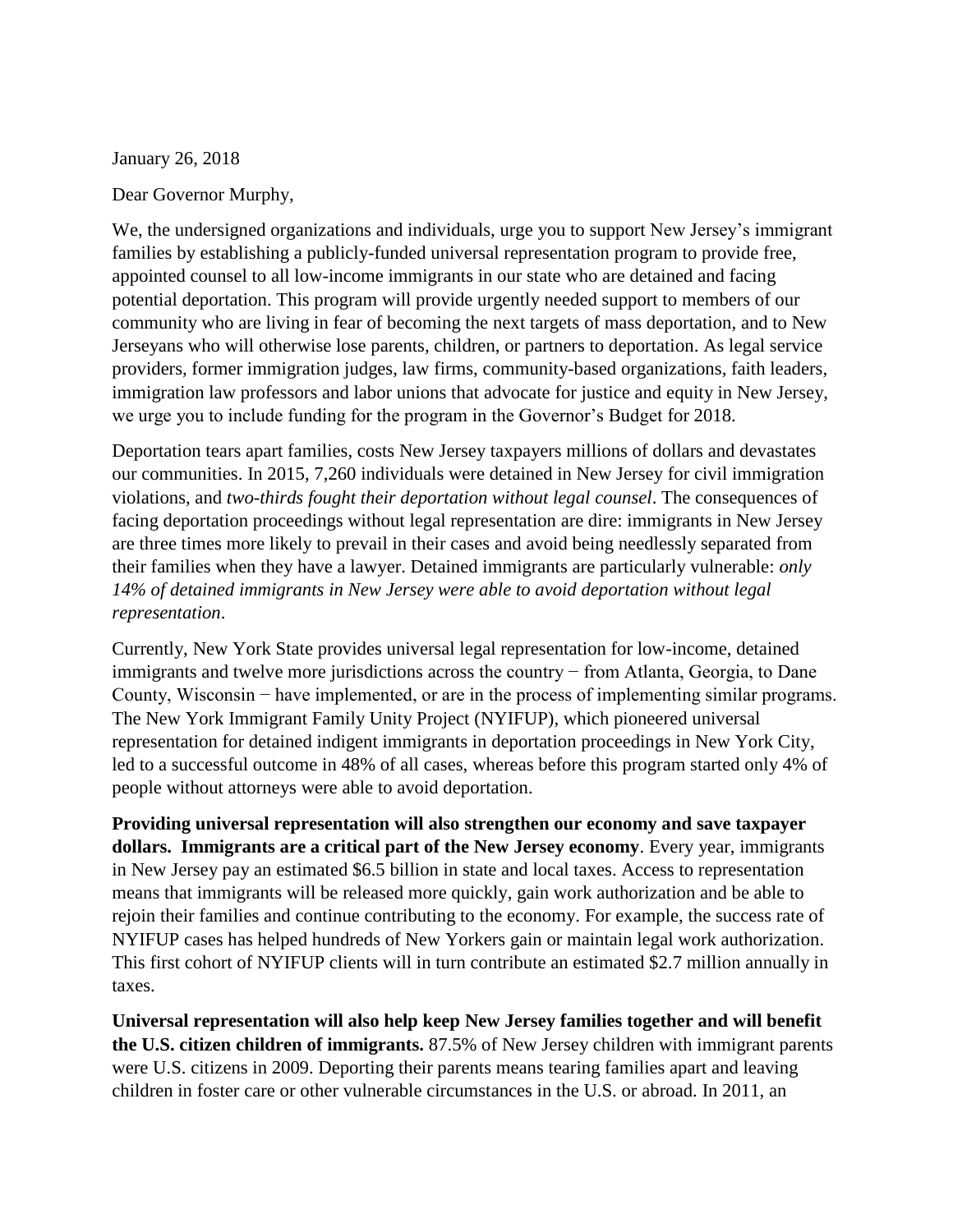January 26, 2018

Dear Governor Murphy,

We, the undersigned organizations and individuals, urge you to support New Jersey's immigrant families by establishing a publicly-funded universal representation program to provide free, appointed counsel to all low-income immigrants in our state who are detained and facing potential deportation. This program will provide urgently needed support to members of our community who are living in fear of becoming the next targets of mass deportation, and to New Jerseyans who will otherwise lose parents, children, or partners to deportation. As legal service providers, former immigration judges, law firms, community-based organizations, faith leaders, immigration law professors and labor unions that advocate for justice and equity in New Jersey, we urge you to include funding for the program in the Governor's Budget for 2018.

Deportation tears apart families, costs New Jersey taxpayers millions of dollars and devastates our communities. In 2015, 7,260 individuals were detained in New Jersey for civil immigration violations, and *two-thirds fought their deportation without legal counsel*. The consequences of facing deportation proceedings without legal representation are dire: immigrants in New Jersey are three times more likely to prevail in their cases and avoid being needlessly separated from their families when they have a lawyer. Detained immigrants are particularly vulnerable: *only 14% of detained immigrants in New Jersey were able to avoid deportation without legal representation*.

Currently, New York State provides universal legal representation for low-income, detained immigrants and twelve more jurisdictions across the country − from Atlanta, Georgia, to Dane County, Wisconsin − have implemented, or are in the process of implementing similar programs. The New York Immigrant Family Unity Project (NYIFUP), which pioneered universal representation for detained indigent immigrants in deportation proceedings in New York City, led to a successful outcome in 48% of all cases, whereas before this program started only 4% of people without attorneys were able to avoid deportation.

**Providing universal representation will also strengthen our economy and save taxpayer dollars. Immigrants are a critical part of the New Jersey economy**. Every year, immigrants in New Jersey pay an estimated \$6.5 billion in state and local taxes. Access to representation means that immigrants will be released more quickly, gain work authorization and be able to rejoin their families and continue contributing to the economy. For example, the success rate of NYIFUP cases has helped hundreds of New Yorkers gain or maintain legal work authorization. This first cohort of NYIFUP clients will in turn contribute an estimated \$2.7 million annually in taxes.

**Universal representation will also help keep New Jersey families together and will benefit the U.S. citizen children of immigrants.** 87.5% of New Jersey children with immigrant parents were U.S. citizens in 2009. Deporting their parents means tearing families apart and leaving children in foster care or other vulnerable circumstances in the U.S. or abroad. In 2011, an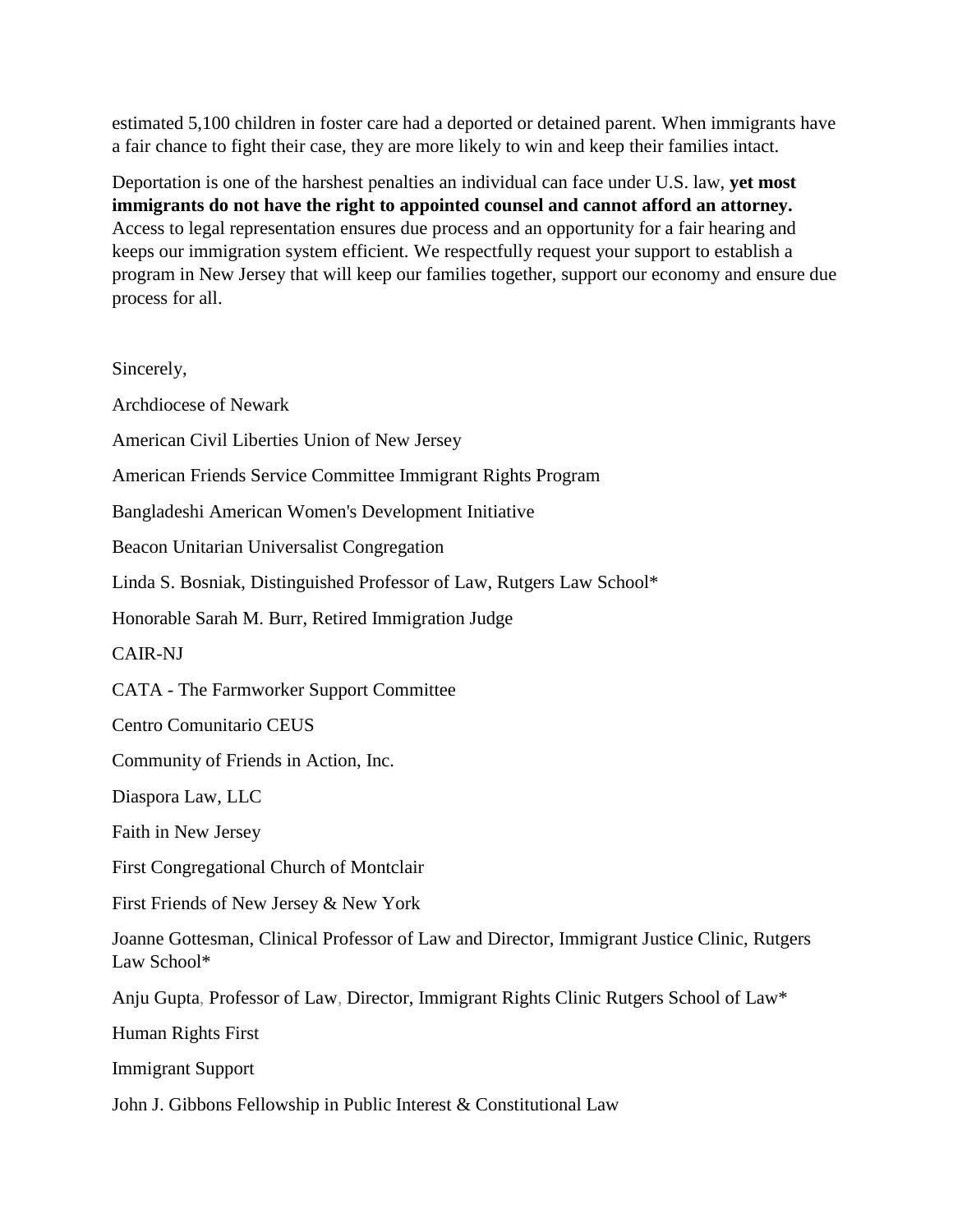estimated 5,100 children in foster care had a deported or detained parent. When immigrants have a fair chance to fight their case, they are more likely to win and keep their families intact.

Deportation is one of the harshest penalties an individual can face under U.S. law, **yet most immigrants do not have the right to appointed counsel and cannot afford an attorney.** Access to legal representation ensures due process and an opportunity for a fair hearing and keeps our immigration system efficient. We respectfully request your support to establish a program in New Jersey that will keep our families together, support our economy and ensure due process for all.

Sincerely, Archdiocese of Newark American Civil Liberties Union of New Jersey American Friends Service Committee Immigrant Rights Program Bangladeshi American Women's Development Initiative Beacon Unitarian Universalist Congregation Linda S. Bosniak, Distinguished Professor of Law, Rutgers Law School\* Honorable Sarah M. Burr, Retired Immigration Judge CAIR-NJ CATA - The Farmworker Support Committee Centro Comunitario CEUS Community of Friends in Action, Inc. Diaspora Law, LLC Faith in New Jersey First Congregational Church of Montclair First Friends of New Jersey & New York Joanne Gottesman, Clinical Professor of Law and Director, Immigrant Justice Clinic, Rutgers Law School\* Anju Gupta, Professor of Law, Director, Immigrant Rights Clinic Rutgers School of Law\* Human Rights First Immigrant Support John J. Gibbons Fellowship in Public Interest & Constitutional Law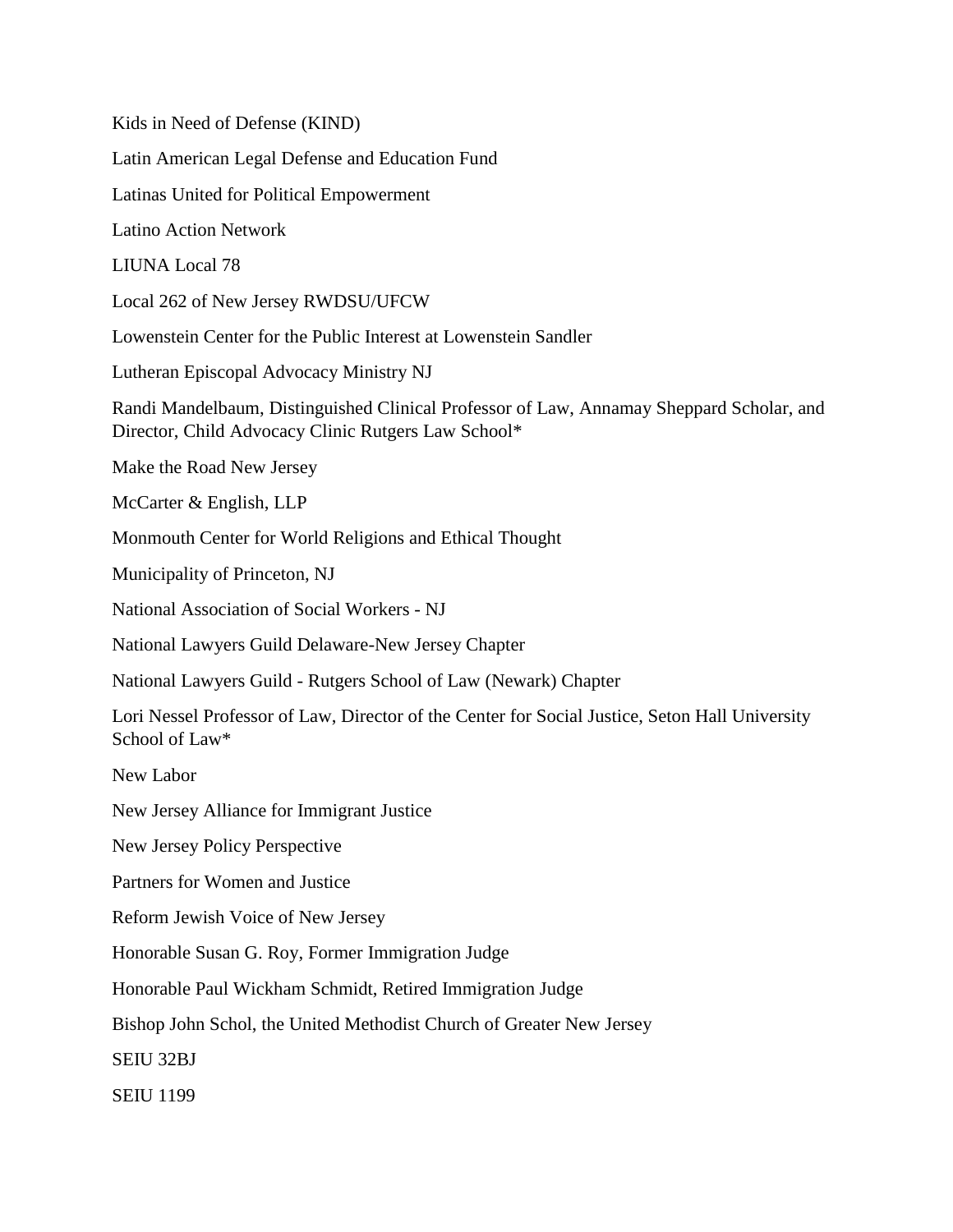Kids in Need of Defense (KIND) Latin American Legal Defense and Education Fund Latinas United for Political Empowerment Latino Action Network LIUNA Local 78 Local 262 of New Jersey RWDSU/UFCW Lowenstein Center for the Public Interest at Lowenstein Sandler Lutheran Episcopal Advocacy Ministry NJ Randi Mandelbaum, Distinguished Clinical Professor of Law, Annamay Sheppard Scholar, and Director, Child Advocacy Clinic Rutgers Law School\* Make the Road New Jersey McCarter & English, LLP Monmouth Center for World Religions and Ethical Thought Municipality of Princeton, NJ National Association of Social Workers - NJ National Lawyers Guild Delaware-New Jersey Chapter National Lawyers Guild - Rutgers School of Law (Newark) Chapter Lori Nessel Professor of Law, Director of the Center for Social Justice, Seton Hall University School of Law\* New Labor New Jersey Alliance for Immigrant Justice New Jersey Policy Perspective Partners for Women and Justice Reform Jewish Voice of New Jersey Honorable Susan G. Roy, Former Immigration Judge Honorable Paul Wickham Schmidt, Retired Immigration Judge Bishop John Schol, the United Methodist Church of Greater New Jersey SEIU 32BJ SEIU 1199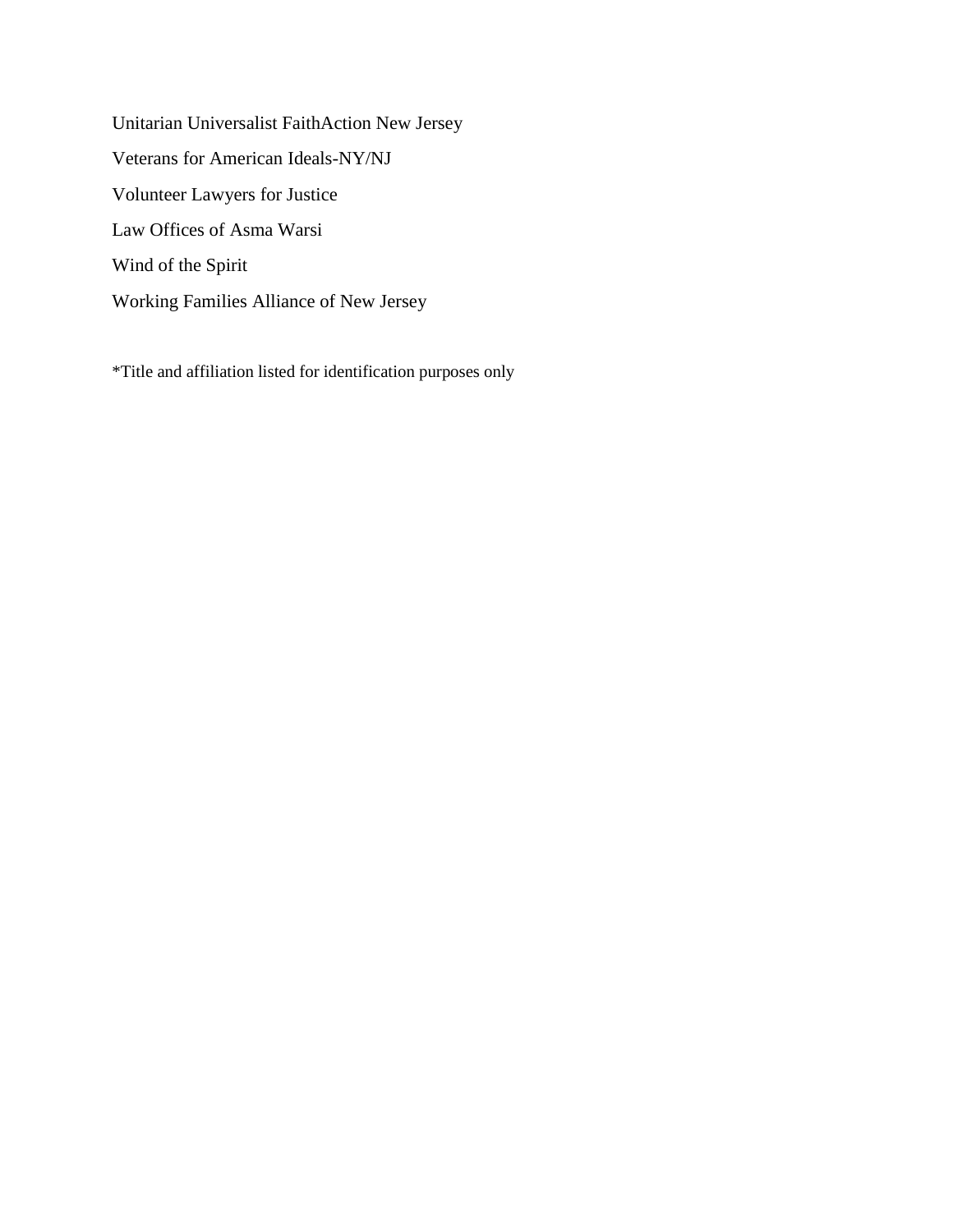Unitarian Universalist FaithAction New Jersey Veterans for American Ideals-NY/NJ Volunteer Lawyers for Justice Law Offices of Asma Warsi Wind of the Spirit Working Families Alliance of New Jersey

\*Title and affiliation listed for identification purposes only